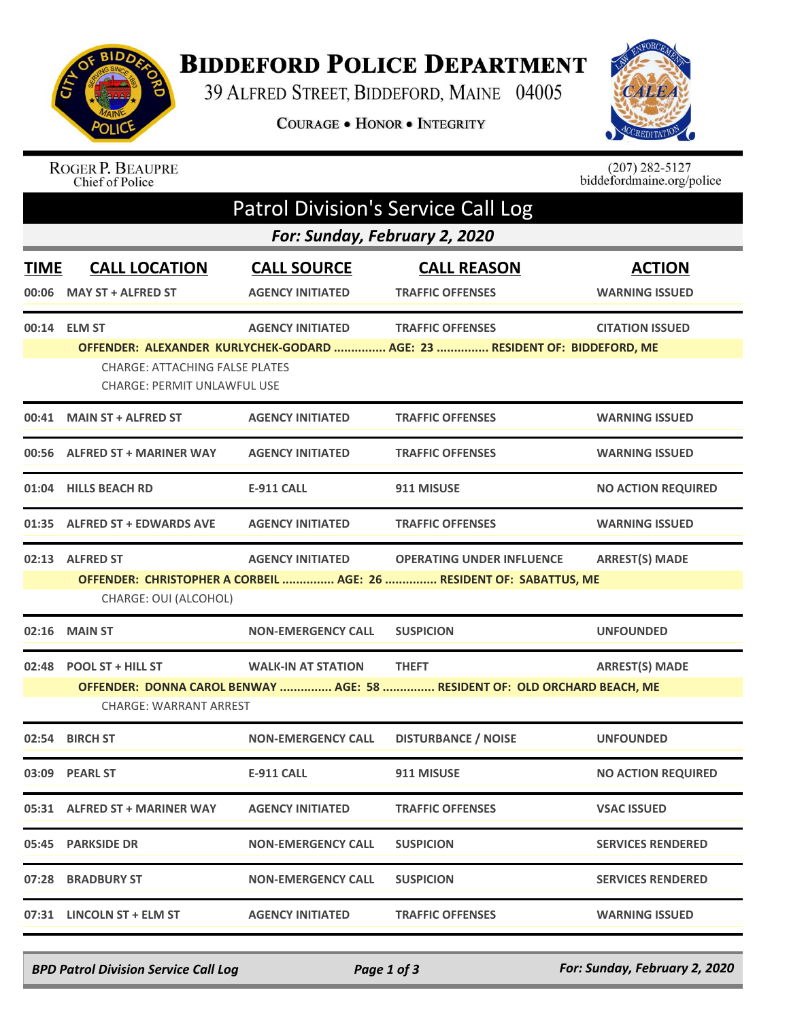

## **BIDDEFORD POLICE DEPARTMENT**

39 ALFRED STREET, BIDDEFORD, MAINE 04005

COURAGE . HONOR . INTEGRITY



## ROGER P. BEAUPRE<br>Chief of Police

 $(207)$  282-5127<br>biddefordmaine.org/police

| <b>Patrol Division's Service Call Log</b> |                                                                                                                                                                                                         |                                               |                                                                                                      |                                        |  |  |  |  |
|-------------------------------------------|---------------------------------------------------------------------------------------------------------------------------------------------------------------------------------------------------------|-----------------------------------------------|------------------------------------------------------------------------------------------------------|----------------------------------------|--|--|--|--|
| For: Sunday, February 2, 2020             |                                                                                                                                                                                                         |                                               |                                                                                                      |                                        |  |  |  |  |
| <b>TIME</b>                               | <b>CALL LOCATION</b><br>00:06 MAY ST + ALFRED ST                                                                                                                                                        | <b>CALL SOURCE</b><br><b>AGENCY INITIATED</b> | <b>CALL REASON</b><br><b>TRAFFIC OFFENSES</b>                                                        | <b>ACTION</b><br><b>WARNING ISSUED</b> |  |  |  |  |
|                                           | 00:14 ELM ST<br><b>CHARGE: ATTACHING FALSE PLATES</b><br><b>CHARGE: PERMIT UNLAWFUL USE</b>                                                                                                             | <b>AGENCY INITIATED</b>                       | <b>TRAFFIC OFFENSES</b><br>OFFENDER: ALEXANDER KURLYCHEK-GODARD  AGE: 23  RESIDENT OF: BIDDEFORD, ME | <b>CITATION ISSUED</b>                 |  |  |  |  |
|                                           | 00:41 MAIN ST + ALFRED ST                                                                                                                                                                               | <b>AGENCY INITIATED</b>                       | <b>TRAFFIC OFFENSES</b>                                                                              | <b>WARNING ISSUED</b>                  |  |  |  |  |
|                                           | 00:56 ALFRED ST + MARINER WAY                                                                                                                                                                           | <b>AGENCY INITIATED</b>                       | <b>TRAFFIC OFFENSES</b>                                                                              | <b>WARNING ISSUED</b>                  |  |  |  |  |
|                                           | 01:04 HILLS BEACH RD                                                                                                                                                                                    | <b>E-911 CALL</b>                             | 911 MISUSE                                                                                           | <b>NO ACTION REQUIRED</b>              |  |  |  |  |
|                                           | 01:35 ALFRED ST + EDWARDS AVE                                                                                                                                                                           | <b>AGENCY INITIATED</b>                       | <b>TRAFFIC OFFENSES</b>                                                                              | <b>WARNING ISSUED</b>                  |  |  |  |  |
|                                           | 02:13 ALFRED ST<br><b>AGENCY INITIATED</b><br><b>OPERATING UNDER INFLUENCE</b><br><b>ARREST(S) MADE</b><br>OFFENDER: CHRISTOPHER A CORBEIL  AGE: 26  RESIDENT OF: SABATTUS, ME<br>CHARGE: OUI (ALCOHOL) |                                               |                                                                                                      |                                        |  |  |  |  |
| 02:16                                     | <b>MAIN ST</b>                                                                                                                                                                                          | <b>NON-EMERGENCY CALL</b>                     | <b>SUSPICION</b>                                                                                     | <b>UNFOUNDED</b>                       |  |  |  |  |
|                                           | 02:48 POOL ST + HILL ST<br><b>CHARGE: WARRANT ARREST</b>                                                                                                                                                | <b>WALK-IN AT STATION</b>                     | <b>THEFT</b><br>OFFENDER: DONNA CAROL BENWAY  AGE: 58  RESIDENT OF: OLD ORCHARD BEACH, ME            | <b>ARREST(S) MADE</b>                  |  |  |  |  |
| 02:54                                     | <b>BIRCH ST</b>                                                                                                                                                                                         | <b>NON-EMERGENCY CALL</b>                     | <b>DISTURBANCE / NOISE</b>                                                                           | <b>UNFOUNDED</b>                       |  |  |  |  |
|                                           | 03:09 PEARL ST                                                                                                                                                                                          | <b>E-911 CALL</b>                             | 911 MISUSE                                                                                           | <b>NO ACTION REQUIRED</b>              |  |  |  |  |
|                                           | 05:31 ALFRED ST + MARINER WAY                                                                                                                                                                           | <b>AGENCY INITIATED</b>                       | <b>TRAFFIC OFFENSES</b>                                                                              | <b>VSAC ISSUED</b>                     |  |  |  |  |
|                                           | 05:45 PARKSIDE DR                                                                                                                                                                                       | <b>NON-EMERGENCY CALL</b>                     | <b>SUSPICION</b>                                                                                     | <b>SERVICES RENDERED</b>               |  |  |  |  |
|                                           | 07:28 BRADBURY ST                                                                                                                                                                                       | <b>NON-EMERGENCY CALL</b>                     | <b>SUSPICION</b>                                                                                     | <b>SERVICES RENDERED</b>               |  |  |  |  |
|                                           | 07:31 LINCOLN ST + ELM ST                                                                                                                                                                               | <b>AGENCY INITIATED</b>                       | <b>TRAFFIC OFFENSES</b>                                                                              | <b>WARNING ISSUED</b>                  |  |  |  |  |

*BPD Patrol Division Service Call Log Page 1 of 3 For: Sunday, February 2, 2020*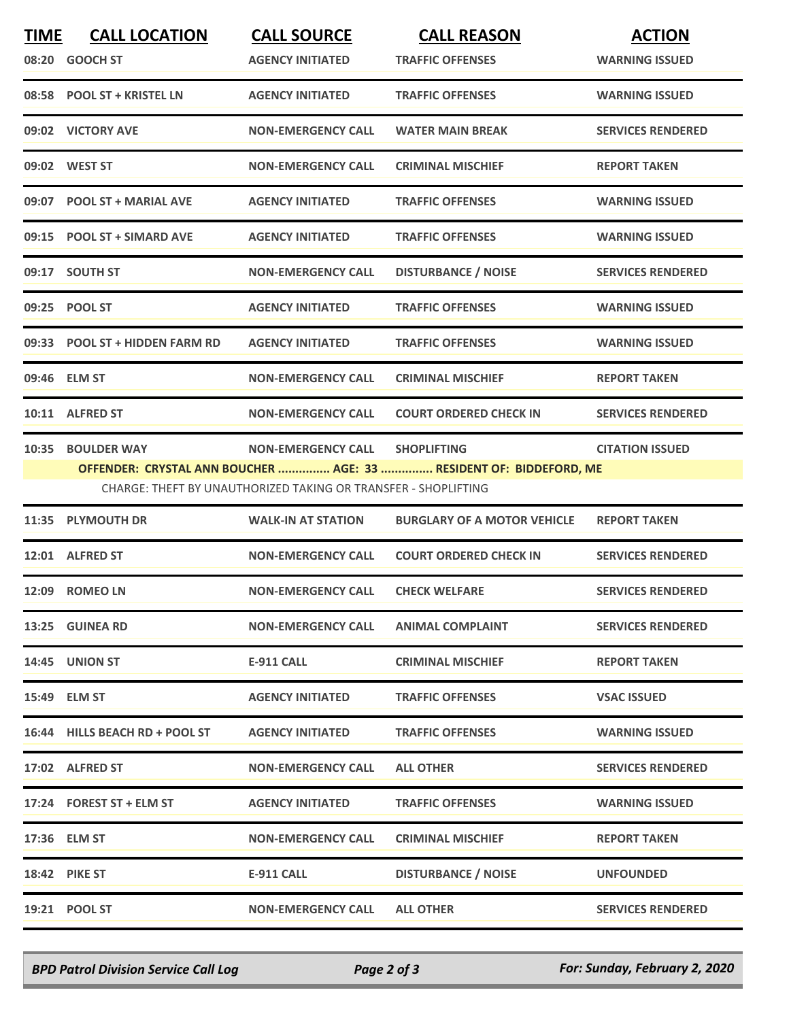| <b>TIME</b> | <b>CALL LOCATION</b><br>08:20 GOOCH ST | <b>CALL SOURCE</b><br><b>AGENCY INITIATED</b>                  | <b>CALL REASON</b><br><b>TRAFFIC OFFENSES</b>                      | <b>ACTION</b><br><b>WARNING ISSUED</b> |
|-------------|----------------------------------------|----------------------------------------------------------------|--------------------------------------------------------------------|----------------------------------------|
|             |                                        |                                                                |                                                                    |                                        |
|             | 08:58 POOL ST + KRISTEL LN             | <b>AGENCY INITIATED</b>                                        | <b>TRAFFIC OFFENSES</b>                                            | <b>WARNING ISSUED</b>                  |
|             | 09:02 VICTORY AVE                      | <b>NON-EMERGENCY CALL</b>                                      | <b>WATER MAIN BREAK</b>                                            | <b>SERVICES RENDERED</b>               |
|             | 09:02 WEST ST                          | <b>NON-EMERGENCY CALL</b>                                      | <b>CRIMINAL MISCHIEF</b>                                           | <b>REPORT TAKEN</b>                    |
|             | 09:07 POOL ST + MARIAL AVE             | <b>AGENCY INITIATED</b>                                        | <b>TRAFFIC OFFENSES</b>                                            | <b>WARNING ISSUED</b>                  |
|             | 09:15 POOL ST + SIMARD AVE             | <b>AGENCY INITIATED</b>                                        | <b>TRAFFIC OFFENSES</b>                                            | <b>WARNING ISSUED</b>                  |
|             | 09:17 SOUTH ST                         | <b>NON-EMERGENCY CALL</b>                                      | <b>DISTURBANCE / NOISE</b>                                         | <b>SERVICES RENDERED</b>               |
|             | 09:25 POOL ST                          | <b>AGENCY INITIATED</b>                                        | <b>TRAFFIC OFFENSES</b>                                            | <b>WARNING ISSUED</b>                  |
|             | 09:33 POOL ST + HIDDEN FARM RD         | <b>AGENCY INITIATED</b>                                        | <b>TRAFFIC OFFENSES</b>                                            | <b>WARNING ISSUED</b>                  |
|             | 09:46 ELM ST                           | <b>NON-EMERGENCY CALL</b>                                      | <b>CRIMINAL MISCHIEF</b>                                           | <b>REPORT TAKEN</b>                    |
|             | 10:11 ALFRED ST                        | <b>NON-EMERGENCY CALL</b>                                      | <b>COURT ORDERED CHECK IN</b>                                      | <b>SERVICES RENDERED</b>               |
|             | 10:35 BOULDER WAY                      | <b>NON-EMERGENCY CALL</b>                                      | <b>SHOPLIFTING</b>                                                 | <b>CITATION ISSUED</b>                 |
|             |                                        | CHARGE: THEFT BY UNAUTHORIZED TAKING OR TRANSFER - SHOPLIFTING | OFFENDER: CRYSTAL ANN BOUCHER  AGE: 33  RESIDENT OF: BIDDEFORD, ME |                                        |
|             | 11:35 PLYMOUTH DR                      | <b>WALK-IN AT STATION</b>                                      | <b>BURGLARY OF A MOTOR VEHICLE</b>                                 | <b>REPORT TAKEN</b>                    |
|             |                                        |                                                                |                                                                    |                                        |
|             | 12:01 ALFRED ST                        | <b>NON-EMERGENCY CALL</b>                                      | <b>COURT ORDERED CHECK IN</b>                                      | <b>SERVICES RENDERED</b>               |
|             | 12:09 ROMEO LN                         | <b>NON-EMERGENCY CALL</b>                                      | <b>CHECK WELFARE</b>                                               | <b>SERVICES RENDERED</b>               |
|             | 13:25 GUINEA RD                        | <b>NON-EMERGENCY CALL</b>                                      | <b>ANIMAL COMPLAINT</b>                                            | <b>SERVICES RENDERED</b>               |
|             | 14:45 UNION ST                         | E-911 CALL                                                     | <b>CRIMINAL MISCHIEF</b>                                           | <b>REPORT TAKEN</b>                    |
|             | 15:49 ELM ST                           | <b>AGENCY INITIATED</b>                                        | <b>TRAFFIC OFFENSES</b>                                            | <b>VSAC ISSUED</b>                     |
|             | 16:44 HILLS BEACH RD + POOL ST         | <b>AGENCY INITIATED</b>                                        | <b>TRAFFIC OFFENSES</b>                                            | <b>WARNING ISSUED</b>                  |
|             | 17:02 ALFRED ST                        | <b>NON-EMERGENCY CALL</b>                                      | <b>ALL OTHER</b>                                                   | <b>SERVICES RENDERED</b>               |
|             | 17:24 FOREST ST + ELM ST               | <b>AGENCY INITIATED</b>                                        | <b>TRAFFIC OFFENSES</b>                                            | <b>WARNING ISSUED</b>                  |
|             | 17:36 ELM ST                           | <b>NON-EMERGENCY CALL</b>                                      | <b>CRIMINAL MISCHIEF</b>                                           | <b>REPORT TAKEN</b>                    |
|             | <b>18:42 PIKE ST</b>                   | E-911 CALL                                                     | <b>DISTURBANCE / NOISE</b>                                         | <b>UNFOUNDED</b>                       |
|             | 19:21 POOL ST                          | <b>NON-EMERGENCY CALL</b>                                      | <b>ALL OTHER</b>                                                   | <b>SERVICES RENDERED</b>               |

*BPD Patrol Division Service Call Log Page 2 of 3 For: Sunday, February 2, 2020*